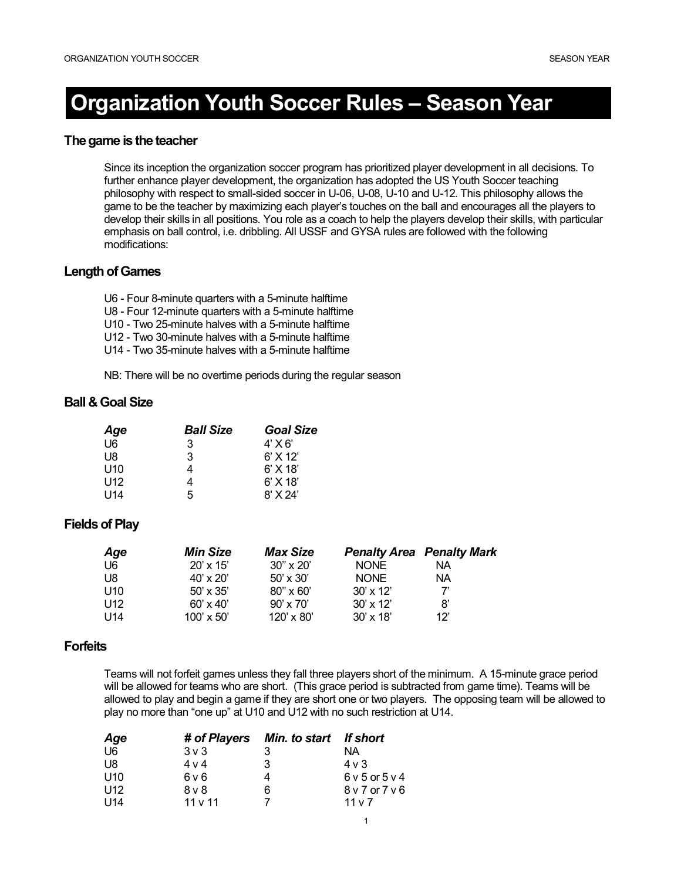# **Organization Youth Soccer Rules - Season Year**

### **The game is the teacher**

Since its inception the organization soccer program has prioritized player development in all decisions. To further enhance player development, the organization has adopted the US Youth Soccer teaching philosophy with respect to small-sided soccer in U-06, U-08, U-10 and U-12. This philosophy allows the game to be the teacher by maximizing each player's touches on the ball and encourages all the players to develop their skills in all positions. You role as a coach to help the players develop their skills, with particular emphasis on ball control, i.e. dribbling. All USSF and GYSA rules are followed with the following modifications:

### **Length of Games**

- U6 Four 8-minute quarters with a 5-minute halftime
- U8 Four 12-minute quarters with a 5-minute halftime
- U10 Two 25-minute halves with a 5-minute halftime
- U12 Two 30-minute halves with a 5-minute halftime
- U14 Two 35-minute halves with a 5-minute halftime

NB: There will be no overtime periods during the regular season

### **Ball & Goal Size**

| Age             | <b>Ball Size</b> | <b>Goal Size</b> |
|-----------------|------------------|------------------|
| U6              | 3                | $4'$ X 6'        |
| U8.             | 3                | $6'$ X 12'       |
| U <sub>10</sub> | 4                | $6'$ X 18'       |
| U12             | 4                | $6'$ X 18'       |
| U14             | 5                | $8'$ X 24'       |

### **Fields of Play**

| Age             | <b>Min Size</b>   | <b>Max Size</b>   |                  | <b>Penalty Area Penalty Mark</b> |
|-----------------|-------------------|-------------------|------------------|----------------------------------|
| U6              | $20' \times 15'$  | $30'' \times 20'$ | <b>NONE</b>      | ΝA                               |
| U8              | $40' \times 20'$  | $50' \times 30'$  | <b>NONE</b>      | ΝA                               |
| U <sub>10</sub> | $50' \times 35'$  | $80'' \times 60'$ | $30' \times 12'$ |                                  |
| U <sub>12</sub> | $60' \times 40'$  | $90' \times 70'$  | $30' \times 12'$ | 8'                               |
| U <sub>14</sub> | $100' \times 50'$ | $120' \times 80'$ | $30' \times 18'$ | 12'                              |

#### **Forfeits**

Teams will not forfeit games unless they fall three players short of the minimum. A 15-minute grace period will be allowed for teams who are short. (This grace period is subtracted from game time). Teams will be allowed to play and begin a game if they are short one or two players. The opposing team will be allowed to play no more than "one up" at U10 and U12 with no such restriction at U14.

| Age             |            | # of Players Min. to start If short |                 |
|-----------------|------------|-------------------------------------|-----------------|
| U <sub>6</sub>  | $3v$ 3     | 3                                   | NА              |
| U8              | $4 \vee 4$ | 3                                   | $4 \vee 3$      |
| U <sub>10</sub> | 6 v 6      | 4                                   | $6v5$ or $5v4$  |
| U12             | 8 v 8      | 6                                   | 8 v 7 or 7 v 6  |
| U <sub>14</sub> | 11 v 11    |                                     | 11 <sub>v</sub> |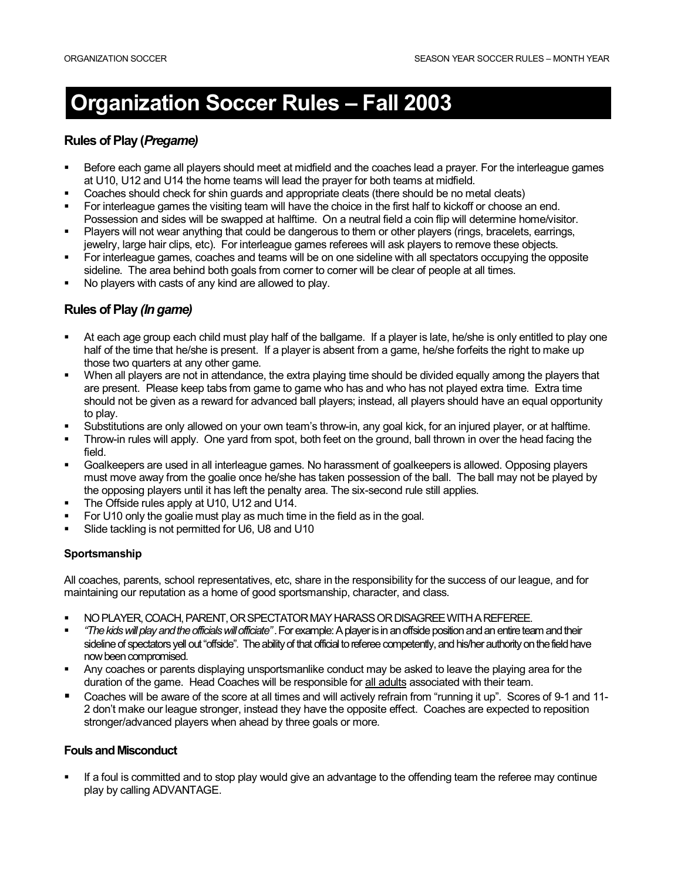# **Organization Soccer Rules - Fall 2003**

## **Rules of Play (***Pregame)*

- ! Before each game all players should meet at midfield and the coaches lead a prayer. For the interleague games at U10, U12 and U14 the home teams will lead the prayer for both teams at midfield.
- ! Coaches should check for shin guards and appropriate cleats (there should be no metal cleats)
- ! For interleague games the visiting team will have the choice in the first half to kickoff or choose an end. Possession and sides will be swapped at halftime. On a neutral field a coin flip will determine home/visitor.
- ! Players will not wear anything that could be dangerous to them or other players (rings, bracelets, earrings, jewelry, large hair clips, etc). For interleague games referees will ask players to remove these objects.
- ! For interleague games, coaches and teams will be on one sideline with all spectators occupying the opposite sideline. The area behind both goals from corner to corner will be clear of people at all times.
- No players with casts of any kind are allowed to play.

## **Rules of Play** *(In game)*

- At each age group each child must play half of the ballgame. If a player is late, he/she is only entitled to play one half of the time that he/she is present. If a player is absent from a game, he/she forfeits the right to make up those two quarters at any other game.
- When all players are not in attendance, the extra playing time should be divided equally among the players that are present. Please keep tabs from game to game who has and who has not played extra time. Extra time should not be given as a reward for advanced ball players; instead, all players should have an equal opportunity to play.
- Substitutions are only allowed on your own team's throw-in, any goal kick, for an injured player, or at halftime.
- ! Throw-in rules will apply. One yard from spot, both feet on the ground, ball thrown in over the head facing the field.
- ! Goalkeepers are used in all interleague games. No harassment of goalkeepers is allowed. Opposing players must move away from the goalie once he/she has taken possession of the ball. The ball may not be played by the opposing players until it has left the penalty area. The six-second rule still applies.
- **The Offside rules apply at U10, U12 and U14.**
- ! For U10 only the goalie must play as much time in the field as in the goal.
- Slide tackling is not permitted for U6, U8 and U10

#### **Sportsmanship**

All coaches, parents, school representatives, etc, share in the responsibility for the success of our league, and for maintaining our reputation as a home of good sportsmanship, character, and class.

- ! NO PLAYER, COACH, PARENT, OR SPECTATOR MAY HARASS OR DISAGREE WITH A REFEREE.
- ! *ìThe kids will play and the officials will officiateî* . For example: A player is in an offside position and an entire team and their sideline of spectators yell out "offside". The ability of that official to referee competently, and his/her authority on the field have now been compromised.
- ! Any coaches or parents displaying unsportsmanlike conduct may be asked to leave the playing area for the duration of the game. Head Coaches will be responsible for all adults associated with their team.
- Coaches will be aware of the score at all times and will actively refrain from "running it up". Scores of 9-1 and 11-2 donít make our league stronger, instead they have the opposite effect. Coaches are expected to reposition stronger/advanced players when ahead by three goals or more.

### **Fouls and Misconduct**

If a foul is committed and to stop play would give an advantage to the offending team the referee may continue play by calling ADVANTAGE.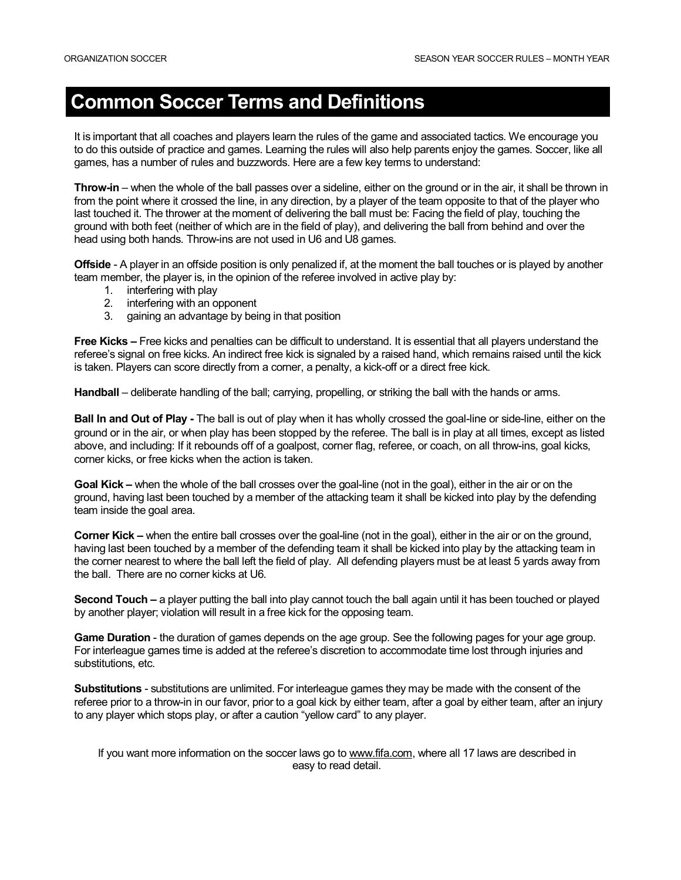## **Common Soccer Terms and Definitions**

It is important that all coaches and players learn the rules of the game and associated tactics. We encourage you to do this outside of practice and games. Learning the rules will also help parents enjoy the games. Soccer, like all games, has a number of rules and buzzwords. Here are a few key terms to understand:

**Throw-in** – when the whole of the ball passes over a sideline, either on the ground or in the air, it shall be thrown in from the point where it crossed the line, in any direction, by a player of the team opposite to that of the player who last touched it. The thrower at the moment of delivering the ball must be: Facing the field of play, touching the ground with both feet (neither of which are in the field of play), and delivering the ball from behind and over the head using both hands. Throw-ins are not used in U6 and U8 games.

**Offside** - A player in an offside position is only penalized if, at the moment the ball touches or is played by another team member, the player is, in the opinion of the referee involved in active play by:

- 1. interfering with play
- 2. interfering with an opponent
- 3. gaining an advantage by being in that position

**Free Kicks –** Free kicks and penalties can be difficult to understand. It is essential that all players understand the referee's signal on free kicks. An indirect free kick is signaled by a raised hand, which remains raised until the kick is taken. Players can score directly from a corner, a penalty, a kick-off or a direct free kick.

**Handball** – deliberate handling of the ball; carrying, propelling, or striking the ball with the hands or arms.

**Ball In and Out of Play -** The ball is out of play when it has wholly crossed the goal-line or side-line, either on the ground or in the air, or when play has been stopped by the referee. The ball is in play at all times, except as listed above, and including: If it rebounds off of a goalpost, corner flag, referee, or coach, on all throw-ins, goal kicks, corner kicks, or free kicks when the action is taken.

**Goal Kick –** when the whole of the ball crosses over the goal-line (not in the goal), either in the air or on the ground, having last been touched by a member of the attacking team it shall be kicked into play by the defending team inside the goal area.

**Corner Kick –** when the entire ball crosses over the goal-line (not in the goal), either in the air or on the ground, having last been touched by a member of the defending team it shall be kicked into play by the attacking team in the corner nearest to where the ball left the field of play. All defending players must be at least 5 yards away from the ball. There are no corner kicks at U6.

**Second Touch –** a player putting the ball into play cannot touch the ball again until it has been touched or played by another player; violation will result in a free kick for the opposing team.

**Game Duration** - the duration of games depends on the age group. See the following pages for your age group. For interleague games time is added at the refereeís discretion to accommodate time lost through injuries and substitutions, etc.

**Substitutions** - substitutions are unlimited. For interleague games they may be made with the consent of the referee prior to a throw-in in our favor, prior to a goal kick by either team, after a goal by either team, after an injury to any player which stops play, or after a caution "yellow card" to any player.

If you want more information on the soccer laws go to www.fifa.com, where all 17 laws are described in easy to read detail.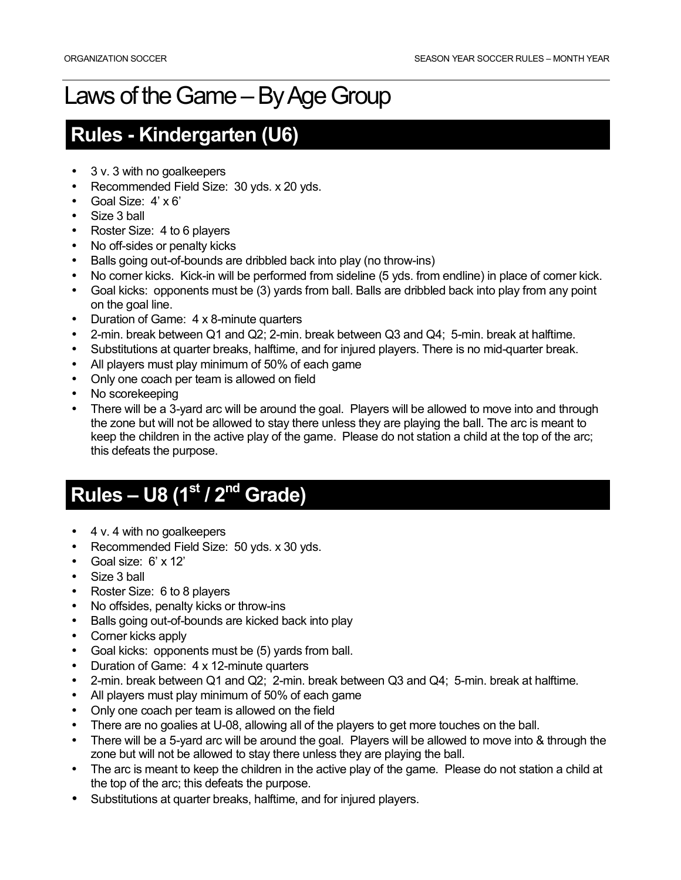## **Rules - Kindergarten (U6)**

- 3 v. 3 with no goalkeepers
- Recommended Field Size: 30 yds. x 20 yds.
- Goal Size:  $4' \times 6'$
- Size 3 ball
- Roster Size: 4 to 6 players
- No off-sides or penalty kicks
- Balls going out-of-bounds are dribbled back into play (no throw-ins)
- No corner kicks. Kick-in will be performed from sideline (5 yds. from endline) in place of corner kick.
- Goal kicks: opponents must be (3) yards from ball. Balls are dribbled back into play from any point on the goal line.
- Duration of Game: 4 x 8-minute quarters
- 2-min. break between Q1 and Q2; 2-min. break between Q3 and Q4; 5-min. break at halftime.
- Substitutions at quarter breaks, halftime, and for injured players. There is no mid-quarter break.
- All players must play minimum of 50% of each game
- Only one coach per team is allowed on field
- No scorekeeping
- There will be a 3-yard arc will be around the goal. Players will be allowed to move into and through the zone but will not be allowed to stay there unless they are playing the ball. The arc is meant to keep the children in the active play of the game. Please do not station a child at the top of the arc; this defeats the purpose.

## **Rules – U8 (1st / 2<sup>nd</sup> Grade)**

- 4 v. 4 with no goalkeepers
- Recommended Field Size: 50 yds. x 30 yds.
- Goal size:  $6' \times 12'$
- Size 3 ball
- Roster Size: 6 to 8 players
- No offsides, penalty kicks or throw-ins
- Balls going out-of-bounds are kicked back into play
- Corner kicks apply
- Goal kicks: opponents must be (5) yards from ball.
- Duration of Game: 4 x 12-minute quarters
- 2-min. break between Q1 and Q2; 2-min. break between Q3 and Q4; 5-min. break at halftime.
- All players must play minimum of 50% of each game
- Only one coach per team is allowed on the field
- There are no goalies at U-08, allowing all of the players to get more touches on the ball.
- There will be a 5-yard arc will be around the goal. Players will be allowed to move into & through the zone but will not be allowed to stay there unless they are playing the ball.
- The arc is meant to keep the children in the active play of the game. Please do not station a child at the top of the arc; this defeats the purpose.
- Substitutions at quarter breaks, halftime, and for injured players.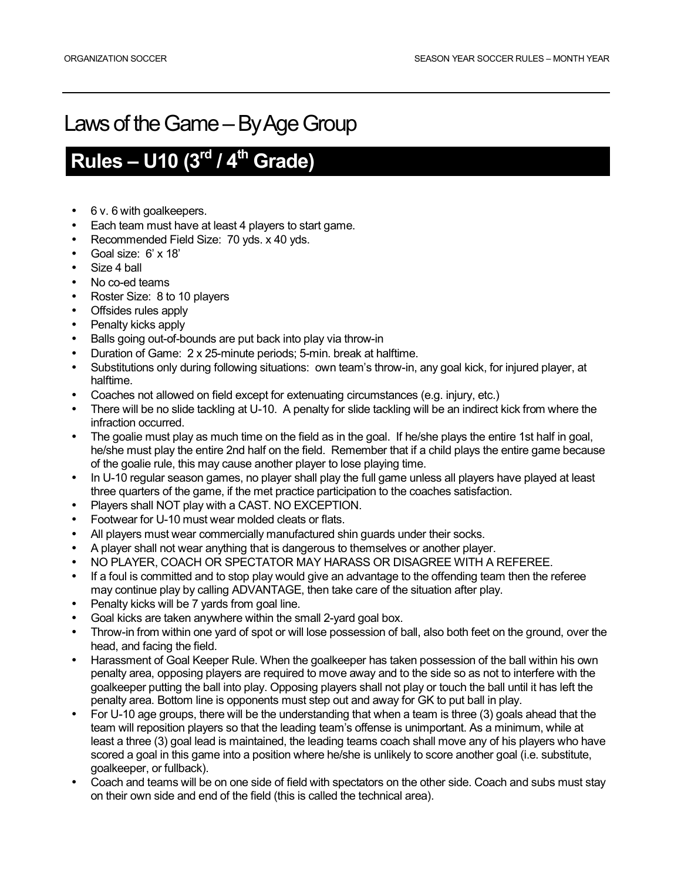# **Rules – U10 (3<sup>rd</sup> / 4<sup>th</sup> Grade)**

- 6 v. 6 with goalkeepers.
- Each team must have at least 4 players to start game.
- Recommended Field Size: 70 yds. x 40 yds.
- Goal size: 6í x 18í
- Size 4 ball
- No co-ed teams
- Roster Size: 8 to 10 players
- Offsides rules apply
- Penalty kicks apply
- Balls going out-of-bounds are put back into play via throw-in
- Duration of Game: 2 x 25-minute periods; 5-min. break at halftime.
- Substitutions only during following situations: own team's throw-in, any goal kick, for injured player, at halftime.
- Coaches not allowed on field except for extenuating circumstances (e.g. injury, etc.)
- There will be no slide tackling at U-10. A penalty for slide tackling will be an indirect kick from where the infraction occurred.
- The goalie must play as much time on the field as in the goal. If he/she plays the entire 1st half in goal, he/she must play the entire 2nd half on the field. Remember that if a child plays the entire game because of the goalie rule, this may cause another player to lose playing time.
- In U-10 regular season games, no player shall play the full game unless all players have played at least three quarters of the game, if the met practice participation to the coaches satisfaction.
- Players shall NOT play with a CAST. NO EXCEPTION.
- Footwear for U-10 must wear molded cleats or flats.
- All players must wear commercially manufactured shin guards under their socks.
- A player shall not wear anything that is dangerous to themselves or another player.
- NO PLAYER, COACH OR SPECTATOR MAY HARASS OR DISAGREE WITH A REFEREE.
- If a foul is committed and to stop play would give an advantage to the offending team then the referee may continue play by calling ADVANTAGE, then take care of the situation after play.
- Penalty kicks will be 7 yards from goal line.
- Goal kicks are taken anywhere within the small 2-yard goal box.
- Throw-in from within one yard of spot or will lose possession of ball, also both feet on the ground, over the head, and facing the field.
- Harassment of Goal Keeper Rule. When the goalkeeper has taken possession of the ball within his own penalty area, opposing players are required to move away and to the side so as not to interfere with the goalkeeper putting the ball into play. Opposing players shall not play or touch the ball until it has left the penalty area. Bottom line is opponents must step out and away for GK to put ball in play.
- For U-10 age groups, there will be the understanding that when a team is three (3) goals ahead that the team will reposition players so that the leading teamís offense is unimportant. As a minimum, while at least a three (3) goal lead is maintained, the leading teams coach shall move any of his players who have scored a goal in this game into a position where he/she is unlikely to score another goal (i.e. substitute, goalkeeper, or fullback).
- Coach and teams will be on one side of field with spectators on the other side. Coach and subs must stay on their own side and end of the field (this is called the technical area).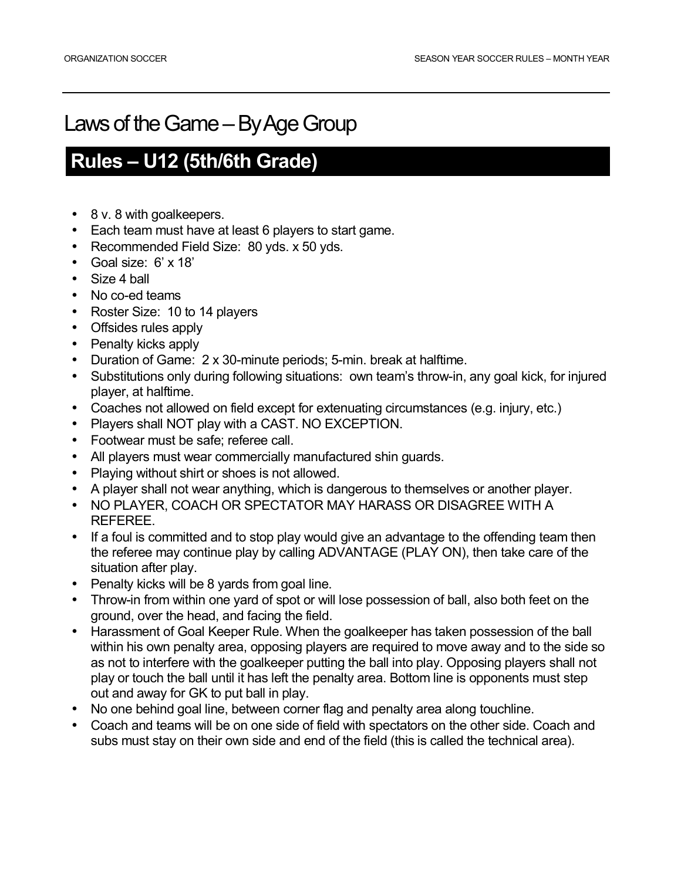## **Rules ñ U12 (5th/6th Grade)**

- 8 v. 8 with goalkeepers.
- Each team must have at least 6 players to start game.
- Recommended Field Size: 80 yds. x 50 yds.
- Goal size:  $6' \times 18'$
- Size 4 ball
- No co-ed teams
- Roster Size: 10 to 14 players
- Offsides rules apply
- Penalty kicks apply
- Duration of Game: 2 x 30-minute periods; 5-min. break at halftime.
- Substitutions only during following situations: own team's throw-in, any goal kick, for injured player, at halftime.
- Coaches not allowed on field except for extenuating circumstances (e.g. injury, etc.)
- Players shall NOT play with a CAST. NO EXCEPTION.
- Footwear must be safe; referee call.
- All players must wear commercially manufactured shin guards.
- Playing without shirt or shoes is not allowed.
- A player shall not wear anything, which is dangerous to themselves or another player.
- NO PLAYER, COACH OR SPECTATOR MAY HARASS OR DISAGREE WITH A REFEREE.
- If a foul is committed and to stop play would give an advantage to the offending team then the referee may continue play by calling ADVANTAGE (PLAY ON), then take care of the situation after play.
- Penalty kicks will be 8 yards from goal line.
- Throw-in from within one yard of spot or will lose possession of ball, also both feet on the ground, over the head, and facing the field.
- Harassment of Goal Keeper Rule. When the goalkeeper has taken possession of the ball within his own penalty area, opposing players are required to move away and to the side so as not to interfere with the goalkeeper putting the ball into play. Opposing players shall not play or touch the ball until it has left the penalty area. Bottom line is opponents must step out and away for GK to put ball in play.
- No one behind goal line, between corner flag and penalty area along touchline.
- Coach and teams will be on one side of field with spectators on the other side. Coach and subs must stay on their own side and end of the field (this is called the technical area).